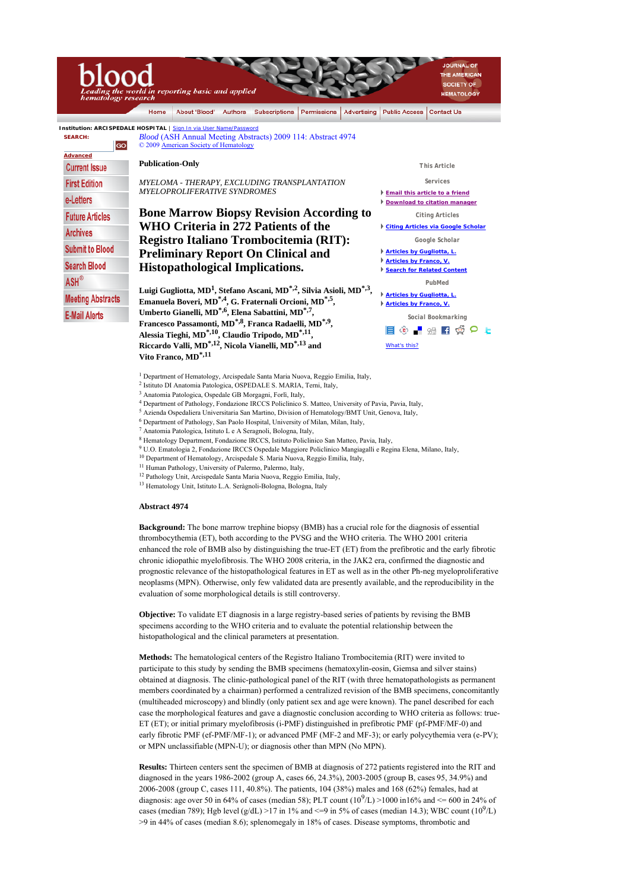## THE AMERICAN SOCIETY OF reporting basic and applied **HEMATOLOGY** igy About 'Blood' | Authors | Subscriptions | Permissions | Advertising | Public Access | Contact Us Home **Institution: ARCISPEDALE HOSPITAL** | Sign In via User Name/Password **SEARCH:**  *Blood* (ASH Annual Meeting Abstracts) 2009 114: Abstract 4974 © 2009 American Society of Hematology  **Advanced Publication-Only Current Issue** *This Article MYELOMA - THERAPY, EXCLUDING TRANSPLANTATION Services* **First Edition** *MYELOPROLIFERATIVE SYNDROMES* **Email this article to a friend** e-Letters **Download to citation manager Bone Marrow Biopsy Revision According to**  *Citing Articles* **Future Articles WHO Criteria in 272 Patients of the Citing Articles via Google Scholar Archives Registro Italiano Trombocitemia (RIT):**  *Google Scholar* **Submit to Blood Articles by Gugliotta, L. Preliminary Report On Clinical and Articles by Franco, V. Search Blood Histopathological Implications. Search for Related Content**  $ASH^{\otimes}$ *PubMed* **Luigi Gugliotta, MD1, Stefano Ascani, MD\*,2, Silvia Asioli, MD\*,3, Articles by Gugliotta, L. Meeting Abstracts Emanuela Boveri, MD\*,4, G. Fraternali Orcioni, MD\*,5, Articles by Franco, V. Umberto Gianelli, MD\*,6, Elena Sabattini, MD\*,7, E-Mail Alerts** *Social Bookmarking* **Francesco Passamonti, MD\*,8, Franca Radaelli, MD\*,9,**  စ့ <mark>-</mark> ေျဌး ျားလွ်ာ့ ၀ ∟ **Alessia Tieghi, MD\*,10, Claudio Tripodo, MD\*,11,**  I **Riccardo Valli, MD\*,12, Nicola Vianelli, MD\*,13 and**  What's this?

- <sup>1</sup> Department of Hematology, Arcispedale Santa Maria Nuova, Reggio Emilia, Italy,
- 2 Istituto DI Anatomia Patologica, OSPEDALE S. MARIA, Terni, Italy,
- 3 Anatomia Patologica, Ospedale GB Morgagni, Forlì, Italy,
- 4 Department of Pathology, Fondazione IRCCS Policlinico S. Matteo, University of Pavia, Pavia, Italy,
- 5 Azienda Ospedaliera Universitaria San Martino, Division of Hematology/BMT Unit, Genova, Italy,
- 6 Department of Pathology, San Paolo Hospital, University of Milan, Milan, Italy,
- 7 Anatomia Patologica, Istituto L e A Seragnoli, Bologna, Italy,
- 8 Hematology Department, Fondazione IRCCS, Istituto Policlinico San Matteo, Pavia, Italy,
- 9 U.O. Ematologia 2, Fondazione IRCCS Ospedale Maggiore Policlinico Mangiagalli e Regina Elena, Milano, Italy,
- 10 Department of Hematology, Arcispedale S. Maria Nuova, Reggio Emilia, Italy,
- 11 Human Pathology, University of Palermo, Palermo, Italy,
- 12 Pathology Unit, Arcispedale Santa Maria Nuova, Reggio Emilia, Italy,
- 13 Hematology Unit, Istituto L.A. Seràgnoli-Bologna, Bologna, Italy

## **Abstract 4974**

**Vito Franco, MD\*,11**

**Background:** The bone marrow trephine biopsy (BMB) has a crucial role for the diagnosis of essential thrombocythemia (ET), both according to the PVSG and the WHO criteria. The WHO 2001 criteria enhanced the role of BMB also by distinguishing the true-ET (ET) from the prefibrotic and the early fibrotic chronic idiopathic myelofibrosis. The WHO 2008 criteria, in the JAK2 era, confirmed the diagnostic and prognostic relevance of the histopathological features in ET as well as in the other Ph-neg myeloproliferative neoplasms (MPN). Otherwise, only few validated data are presently available, and the reproducibility in the evaluation of some morphological details is still controversy.

**Objective:** To validate ET diagnosis in a large registry-based series of patients by revising the BMB specimens according to the WHO criteria and to evaluate the potential relationship between the histopathological and the clinical parameters at presentation.

**Methods:** The hematological centers of the Registro Italiano Trombocitemia (RIT) were invited to participate to this study by sending the BMB specimens (hematoxylin-eosin, Giemsa and silver stains) obtained at diagnosis. The clinic-pathological panel of the RIT (with three hematopathologists as permanent members coordinated by a chairman) performed a centralized revision of the BMB specimens, concomitantly (multiheaded microscopy) and blindly (only patient sex and age were known). The panel described for each case the morphological features and gave a diagnostic conclusion according to WHO criteria as follows: true-ET (ET); or initial primary myelofibrosis (i-PMF) distinguished in prefibrotic PMF (pf-PMF/MF-0) and early fibrotic PMF (ef-PMF/MF-1); or advanced PMF (MF-2 and MF-3); or early polycythemia vera (e-PV); or MPN unclassifiable (MPN-U); or diagnosis other than MPN (No MPN).

**Results:** Thirteen centers sent the specimen of BMB at diagnosis of 272 patients registered into the RIT and diagnosed in the years 1986-2002 (group A, cases 66, 24.3%), 2003-2005 (group B, cases 95, 34.9%) and 2006-2008 (group C, cases 111, 40.8%). The patients, 104 (38%) males and 168 (62%) females, had at diagnosis: age over 50 in 64% of cases (median 58); PLT count  $(10^9/L) > 1000$  in16% and  $\leq 600$  in 24% of cases (median 789); Hgb level (g/dL) >17 in 1% and <=9 in 5% of cases (median 14.3); WBC count (10<sup>9</sup>/L) >9 in 44% of cases (median 8.6); splenomegaly in 18% of cases. Disease symptoms, thrombotic and